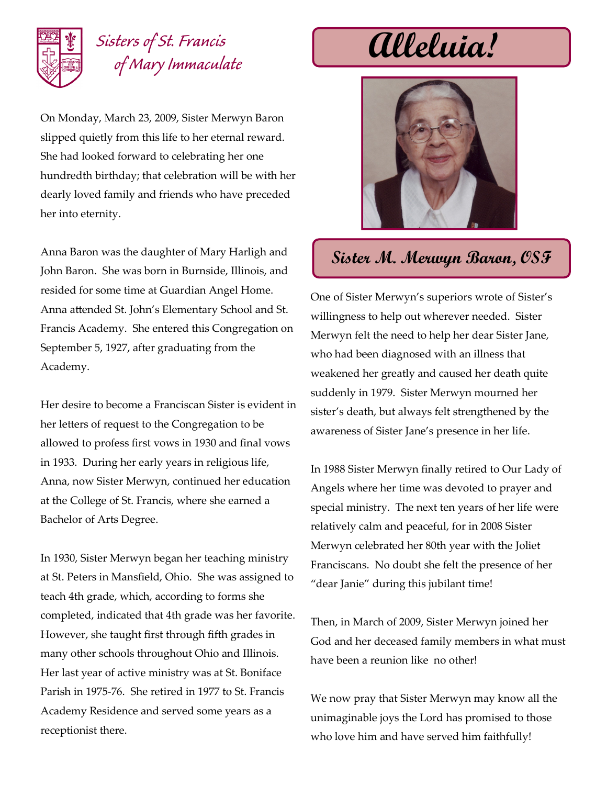

## *Sisters of St. Francis of Mary Immaculate*

On Monday, March 23, 2009, Sister Merwyn Baron slipped quietly from this life to her eternal reward. She had looked forward to celebrating her one hundredth birthday; that celebration will be with her dearly loved family and friends who have preceded her into eternity.

Anna Baron was the daughter of Mary Harligh and John Baron. She was born in Burnside, Illinois, and resided for some time at Guardian Angel Home. Anna attended St. John's Elementary School and St. Francis Academy. She entered this Congregation on September 5, 1927, after graduating from the Academy.

Her desire to become a Franciscan Sister is evident in her letters of request to the Congregation to be allowed to profess first vows in 1930 and final vows in 1933. During her early years in religious life, Anna, now Sister Merwyn, continued her education at the College of St. Francis, where she earned a Bachelor of Arts Degree.

In 1930, Sister Merwyn began her teaching ministry at St. Peters in Mansfield, Ohio. She was assigned to teach 4th grade, which, according to forms she completed, indicated that 4th grade was her favorite. However, she taught first through fifth grades in many other schools throughout Ohio and Illinois. Her last year of active ministry was at St. Boniface Parish in 1975-76. She retired in 1977 to St. Francis Academy Residence and served some years as a receptionist there.

**Alleluia!**



## **Sister M. Merwyn Baron, OSF**

One of Sister Merwyn's superiors wrote of Sister's willingness to help out wherever needed. Sister Merwyn felt the need to help her dear Sister Jane, who had been diagnosed with an illness that weakened her greatly and caused her death quite suddenly in 1979. Sister Merwyn mourned her sister's death, but always felt strengthened by the awareness of Sister Jane's presence in her life.

In 1988 Sister Merwyn finally retired to Our Lady of Angels where her time was devoted to prayer and special ministry. The next ten years of her life were relatively calm and peaceful, for in 2008 Sister Merwyn celebrated her 80th year with the Joliet Franciscans. No doubt she felt the presence of her "dear Janie" during this jubilant time!

Then, in March of 2009, Sister Merwyn joined her God and her deceased family members in what must have been a reunion like no other!

We now pray that Sister Merwyn may know all the unimaginable joys the Lord has promised to those who love him and have served him faithfully!